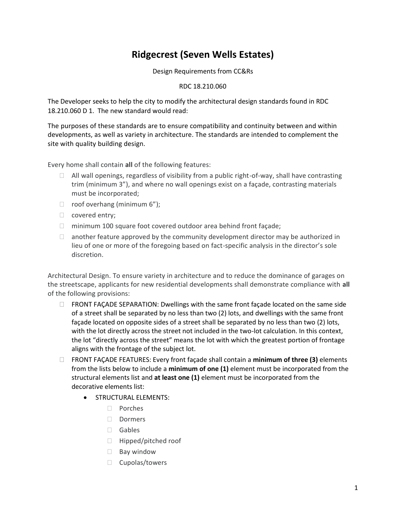## **Ridgecrest (Seven Wells Estates)**

Design Requirements from CC&Rs

## RDC 18.210.060

The Developer seeks to help the city to modify the architectural design standards found in RDC 18.210.060 D 1. The new standard would read:

The purposes of these standards are to ensure compatibility and continuity between and within developments, as well as variety in architecture. The standards are intended to complement the site with quality building design.

Every home shall contain **all** of the following features:

- $\Box$  All wall openings, regardless of visibility from a public right-of-way, shall have contrasting trim (minimum 3"), and where no wall openings exist on a façade, contrasting materials must be incorporated;
- $\Box$  roof overhang (minimum 6");
- covered entry;
- $\Box$  minimum 100 square foot covered outdoor area behind front façade;
- $\Box$  another feature approved by the community development director may be authorized in lieu of one or more of the foregoing based on fact-specific analysis in the director's sole discretion.

Architectural Design. To ensure variety in architecture and to reduce the dominance of garages on the streetscape, applicants for new residential developments shall demonstrate compliance with **all**  of the following provisions:

- $\Box$  FRONT FACADE SEPARATION: Dwellings with the same front facade located on the same side of a street shall be separated by no less than two (2) lots, and dwellings with the same front façade located on opposite sides of a street shall be separated by no less than two (2) lots, with the lot directly across the street not included in the two-lot calculation. In this context, the lot "directly across the street" means the lot with which the greatest portion of frontage aligns with the frontage of the subject lot.
- FRONT FAÇADE FEATURES: Every front façade shall contain a **minimum of three (3)** elements from the lists below to include a **minimum of one (1)** element must be incorporated from the structural elements list and **at least one (1)** element must be incorporated from the decorative elements list:
	- **STRUCTURAL ELEMENTS:** 
		- Porches
		- Dormers
		- Gables
		- □ Hipped/pitched roof
		- **Bay window**
		- Cupolas/towers